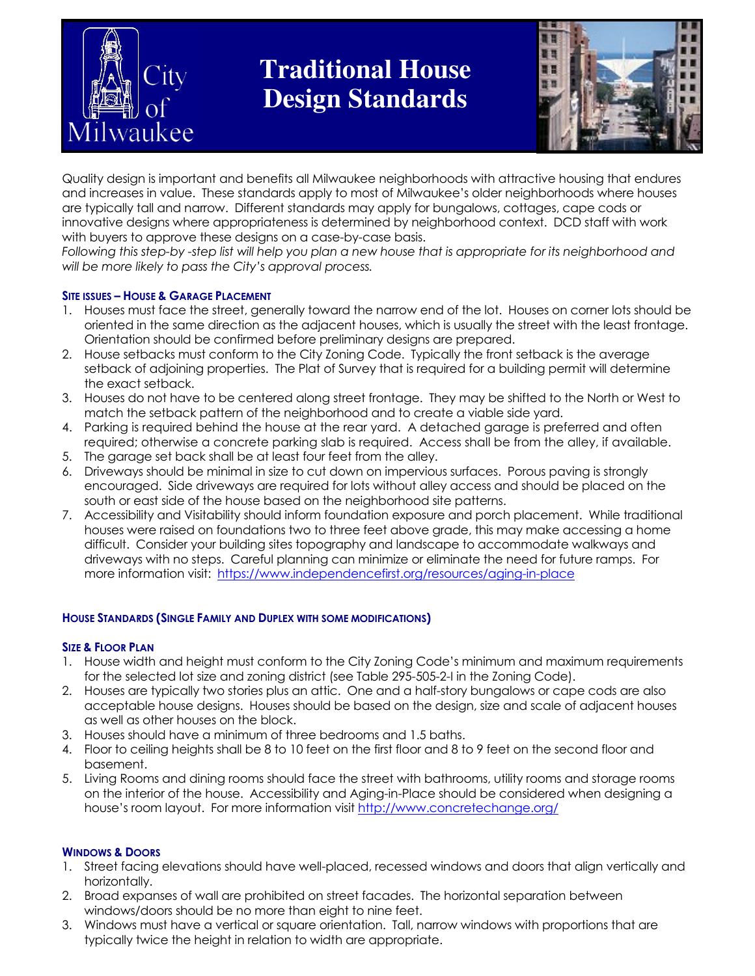

# **Traditional House Design Standards**



Quality design is important and benefits all Milwaukee neighborhoods with attractive housing that endures and increases in value. These standards apply to most of Milwaukee's older neighborhoods where houses are typically tall and narrow. Different standards may apply for bungalows, cottages, cape cods or innovative designs where appropriateness is determined by neighborhood context. DCD staff with work with buyers to approve these designs on a case-by-case basis.

Following this step-by -step list will help you plan a new house that is appropriate for its neighborhood and will be more likely to pass the City's approval process.

#### SITE ISSUES – HOUSE & GARAGE PLACEMENT

- 1. Houses must face the street, generally toward the narrow end of the lot. Houses on corner lots should be oriented in the same direction as the adjacent houses, which is usually the street with the least frontage. Orientation should be confirmed before preliminary designs are prepared.
- 2. House setbacks must conform to the City Zoning Code. Typically the front setback is the average setback of adjoining properties. The Plat of Survey that is required for a building permit will determine the exact setback.
- 3. Houses do not have to be centered along street frontage. They may be shifted to the North or West to match the setback pattern of the neighborhood and to create a viable side yard.
- 4. Parking is required behind the house at the rear yard. A detached garage is preferred and often required; otherwise a concrete parking slab is required. Access shall be from the alley, if available.
- 5. The garage set back shall be at least four feet from the alley.
- 6. Driveways should be minimal in size to cut down on impervious surfaces. Porous paving is strongly encouraged. Side driveways are required for lots without alley access and should be placed on the south or east side of the house based on the neighborhood site patterns.
- 7. Accessibility and Visitability should inform foundation exposure and porch placement. While traditional houses were raised on foundations two to three feet above grade, this may make accessing a home difficult. Consider your building sites topography and landscape to accommodate walkways and driveways with no steps. Careful planning can minimize or eliminate the need for future ramps. For more information visit: https://www.independencefirst.org/resources/aging-in-place

## HOUSE STANDARDS (SINGLE FAMILY AND DUPLEX WITH SOME MODIFICATIONS)

#### SIZE & FLOOR PLAN

- 1. House width and height must conform to the City Zoning Code's minimum and maximum requirements for the selected lot size and zoning district (see Table 295-505-2-I in the Zoning Code).
- 2. Houses are typically two stories plus an attic. One and a half-story bungalows or cape cods are also acceptable house designs. Houses should be based on the design, size and scale of adjacent houses as well as other houses on the block.
- 3. Houses should have a minimum of three bedrooms and 1.5 baths.
- 4. Floor to ceiling heights shall be 8 to 10 feet on the first floor and 8 to 9 feet on the second floor and basement.
- 5. Living Rooms and dining rooms should face the street with bathrooms, utility rooms and storage rooms on the interior of the house. Accessibility and Aging-in-Place should be considered when designing a house's room layout. For more information visit http://www.concretechange.org/

#### WINDOWS & DOORS

- 1. Street facing elevations should have well-placed, recessed windows and doors that align vertically and horizontally.
- 2. Broad expanses of wall are prohibited on street facades. The horizontal separation between windows/doors should be no more than eight to nine feet.
- 3. Windows must have a vertical or square orientation. Tall, narrow windows with proportions that are typically twice the height in relation to width are appropriate.